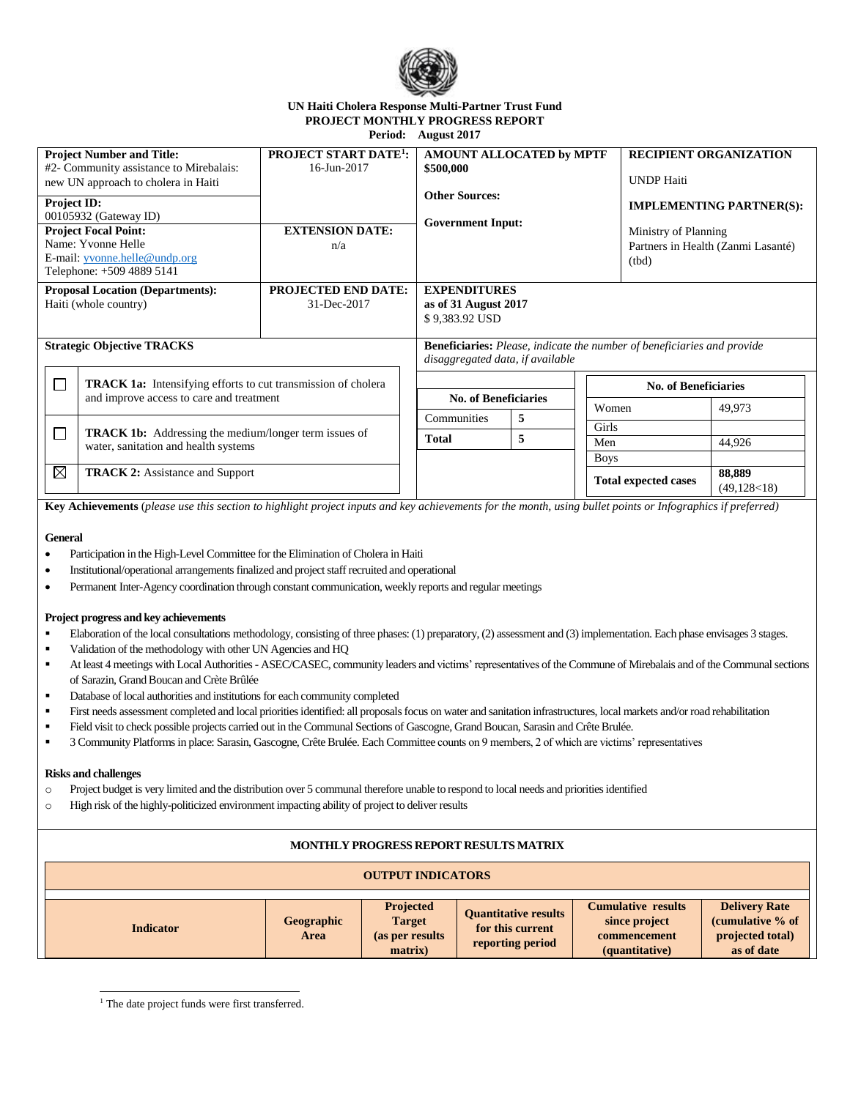

## **UN Haiti Cholera Response Multi-Partner Trust Fund PROJECT MONTHLY PROGRESS REPORT Period: August 2017**

| <b>Project Number and Title:</b><br>#2- Community assistance to Mirebalais:<br>new UN approach to cholera in Haiti                                             |                                                                                                                  | <b>PROJECT START DATE<sup>1</sup>:</b><br>16-Jun-2017                                                              | AMOUNT ALLOCATED by MPTF<br>\$500,000<br><b>Other Sources:</b><br><b>Government Input:</b> |   |                                                                                                        | <b>RECIPIENT ORGANIZATION</b><br><b>UNDP</b> Haiti |                          |
|----------------------------------------------------------------------------------------------------------------------------------------------------------------|------------------------------------------------------------------------------------------------------------------|--------------------------------------------------------------------------------------------------------------------|--------------------------------------------------------------------------------------------|---|--------------------------------------------------------------------------------------------------------|----------------------------------------------------|--------------------------|
| <b>Project ID:</b><br>00105932 (Gateway ID)<br><b>Project Focal Point:</b><br>Name: Yvonne Helle<br>E-mail: yvonne.helle@undp.org<br>Telephone: +509 4889 5141 |                                                                                                                  | <b>EXTENSION DATE:</b><br>n/a                                                                                      |                                                                                            |   | <b>IMPLEMENTING PARTNER(S):</b><br>Ministry of Planning<br>Partners in Health (Zanmi Lasanté)<br>(tbd) |                                                    |                          |
| <b>Proposal Location (Departments):</b><br>Haiti (whole country)                                                                                               |                                                                                                                  | <b>PROJECTED END DATE:</b><br>31-Dec-2017                                                                          | <b>EXPENDITURES</b><br>as of 31 August 2017<br>\$9,383.92 USD                              |   |                                                                                                        |                                                    |                          |
| <b>Strategic Objective TRACKS</b>                                                                                                                              |                                                                                                                  | <b>Beneficiaries:</b> Please, indicate the number of beneficiaries and provide<br>disaggregated data, if available |                                                                                            |   |                                                                                                        |                                                    |                          |
| $\sim$                                                                                                                                                         | <b>TRACK 1a:</b> Intensifying efforts to cut transmission of cholera<br>and improve access to care and treatment |                                                                                                                    | <b>No. of Beneficiaries</b><br><b>No. of Beneficiaries</b>                                 |   |                                                                                                        |                                                    |                          |
|                                                                                                                                                                |                                                                                                                  |                                                                                                                    | Communities                                                                                | 5 | Women                                                                                                  |                                                    | 49,973                   |
| <b>TRACK 1b:</b> Addressing the medium/longer term issues of<br>π<br>water, sanitation and health systems                                                      |                                                                                                                  |                                                                                                                    | Total                                                                                      | 5 | Girls<br>Men                                                                                           |                                                    | 44,926                   |
|                                                                                                                                                                |                                                                                                                  |                                                                                                                    |                                                                                            |   | <b>Boys</b>                                                                                            |                                                    |                          |
| $\boxtimes$                                                                                                                                                    | <b>TRACK 2:</b> Assistance and Support                                                                           |                                                                                                                    |                                                                                            |   |                                                                                                        | <b>Total expected cases</b>                        | 88,889<br>(49, 128 < 18) |

**Key Achievements** (*please use this section to highlight project inputs and key achievements for the month, using bullet points or Infographics if preferred)*

#### **General**

- Participation in the High-Level Committee for the Elimination of Cholera in Haiti
- Institutional/operational arrangements finalized and project staff recruited and operational
- Permanent Inter-Agency coordination through constant communication, weekly reports and regular meetings

## **Project progress and key achievements**

- Elaboration of the local consultations methodology, consisting of three phases: (1) preparatory, (2) assessment and (3) implementation. Each phase envisages 3 stages.
- Validation of the methodology with other UN Agencies and HQ
- At least 4 meetings with Local Authorities ASEC/CASEC, community leaders and victims' representatives of the Commune of Mirebalais and of the Communal sections of Sarazin, Grand Boucan and Crète Brûlée
- Database of local authorities and institutions for each community completed
- First needs assessment completed and local priorities identified: all proposals focus on water and sanitation infrastructures, local markets and/or road rehabilitation
- Field visit to check possible projects carried out in the Communal Sections of Gascogne, Grand Boucan, Sarasin and Crête Brulée.
- 3 Community Platforms in place: Sarasin, Gascogne, Crête Brulée. Each Committee counts on 9 members, 2 of which are victims' representatives

## **Risks and challenges**

j

- o Project budget is very limited and the distribution over 5 communal therefore unable to respond to local needs and priorities identified
- o High risk of the highly-politicized environment impacting ability of project to deliver results

# **MONTHLY PROGRESS REPORT RESULTS MATRIX**

| <b>OUTPUT INDICATORS</b> |                           |                                                                  |                                                                     |                                                                              |                                                                            |  |
|--------------------------|---------------------------|------------------------------------------------------------------|---------------------------------------------------------------------|------------------------------------------------------------------------------|----------------------------------------------------------------------------|--|
| <b>Indicator</b>         | Geographic<br><b>Area</b> | <b>Projected</b><br><b>Target</b><br>(as per results)<br>matrix) | <b>Ouantitative results</b><br>for this current<br>reporting period | <b>Cumulative results</b><br>since project<br>commencement<br>(quantitative) | <b>Delivery Rate</b><br>(cumulative % of<br>projected total)<br>as of date |  |

<sup>1</sup> The date project funds were first transferred.